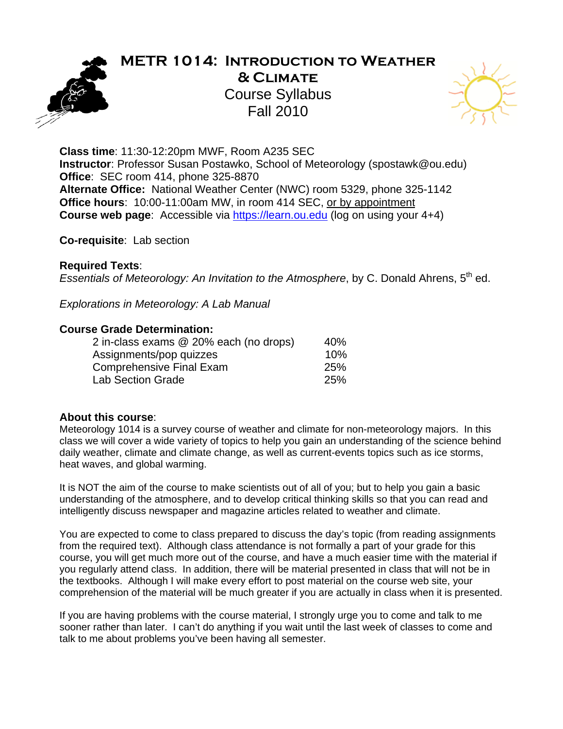

## **METR 1014: Introduction to Weather & Climate**  Course Syllabus Fall 2010



**Class time**: 11:30-12:20pm MWF, Room A235 SEC **Instructor**: Professor Susan Postawko, School of Meteorology (spostawk@ou.edu) **Office**: SEC room 414, phone 325-8870 **Alternate Office:** National Weather Center (NWC) room 5329, phone 325-1142 **Office hours**: 10:00-11:00am MW, in room 414 SEC, or by appointment **Course web page:** Accessible via https://learn.ou.edu (log on using your 4+4)

**Co-requisite**: Lab section

#### **Required Texts**:

*Essentials of Meteorology: An Invitation to the Atmosphere, by C. Donald Ahrens, 5<sup>th</sup> ed.* 

*Explorations in Meteorology: A Lab Manual* 

#### **Course Grade Determination:**

| 2 in-class exams @ 20% each (no drops) | 40%        |
|----------------------------------------|------------|
| Assignments/pop quizzes                | 10%        |
| <b>Comprehensive Final Exam</b>        | <b>25%</b> |
| <b>Lab Section Grade</b>               | 25%        |

#### **About this course**:

Meteorology 1014 is a survey course of weather and climate for non-meteorology majors. In this class we will cover a wide variety of topics to help you gain an understanding of the science behind daily weather, climate and climate change, as well as current-events topics such as ice storms, heat waves, and global warming.

It is NOT the aim of the course to make scientists out of all of you; but to help you gain a basic understanding of the atmosphere, and to develop critical thinking skills so that you can read and intelligently discuss newspaper and magazine articles related to weather and climate.

You are expected to come to class prepared to discuss the day's topic (from reading assignments from the required text). Although class attendance is not formally a part of your grade for this course, you will get much more out of the course, and have a much easier time with the material if you regularly attend class. In addition, there will be material presented in class that will not be in the textbooks. Although I will make every effort to post material on the course web site, your comprehension of the material will be much greater if you are actually in class when it is presented.

If you are having problems with the course material, I strongly urge you to come and talk to me sooner rather than later. I can't do anything if you wait until the last week of classes to come and talk to me about problems you've been having all semester.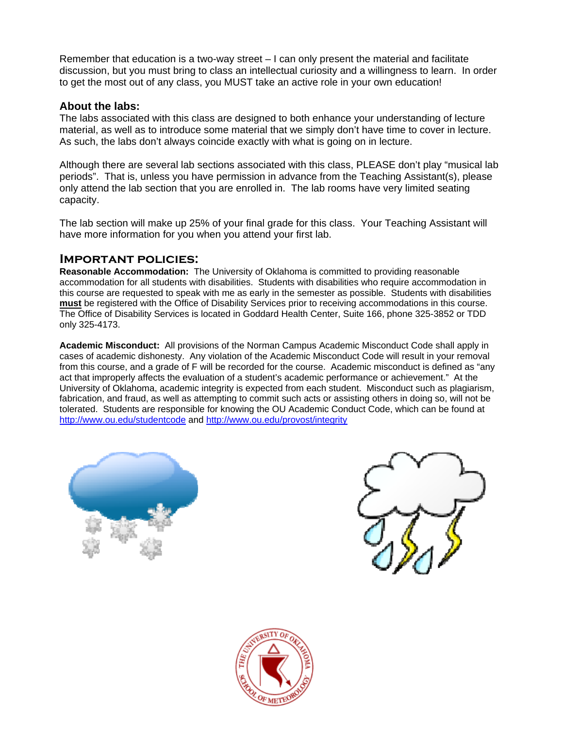Remember that education is a two-way street – I can only present the material and facilitate discussion, but you must bring to class an intellectual curiosity and a willingness to learn. In order to get the most out of any class, you MUST take an active role in your own education!

#### **About the labs:**

The labs associated with this class are designed to both enhance your understanding of lecture material, as well as to introduce some material that we simply don't have time to cover in lecture. As such, the labs don't always coincide exactly with what is going on in lecture.

Although there are several lab sections associated with this class, PLEASE don't play "musical lab periods". That is, unless you have permission in advance from the Teaching Assistant(s), please only attend the lab section that you are enrolled in. The lab rooms have very limited seating capacity.

The lab section will make up 25% of your final grade for this class. Your Teaching Assistant will have more information for you when you attend your first lab.

#### **Important policies:**

**Reasonable Accommodation:** The University of Oklahoma is committed to providing reasonable accommodation for all students with disabilities. Students with disabilities who require accommodation in this course are requested to speak with me as early in the semester as possible. Students with disabilities **must** be registered with the Office of Disability Services prior to receiving accommodations in this course. The Office of Disability Services is located in Goddard Health Center, Suite 166, phone 325-3852 or TDD only 325-4173.

**Academic Misconduct:** All provisions of the Norman Campus Academic Misconduct Code shall apply in cases of academic dishonesty. Any violation of the Academic Misconduct Code will result in your removal from this course, and a grade of F will be recorded for the course. Academic misconduct is defined as "any act that improperly affects the evaluation of a student's academic performance or achievement." At the University of Oklahoma, academic integrity is expected from each student. Misconduct such as plagiarism, fabrication, and fraud, as well as attempting to commit such acts or assisting others in doing so, will not be tolerated. Students are responsible for knowing the OU Academic Conduct Code, which can be found at http://www.ou.edu/studentcode and http://www.ou.edu/provost/integrity





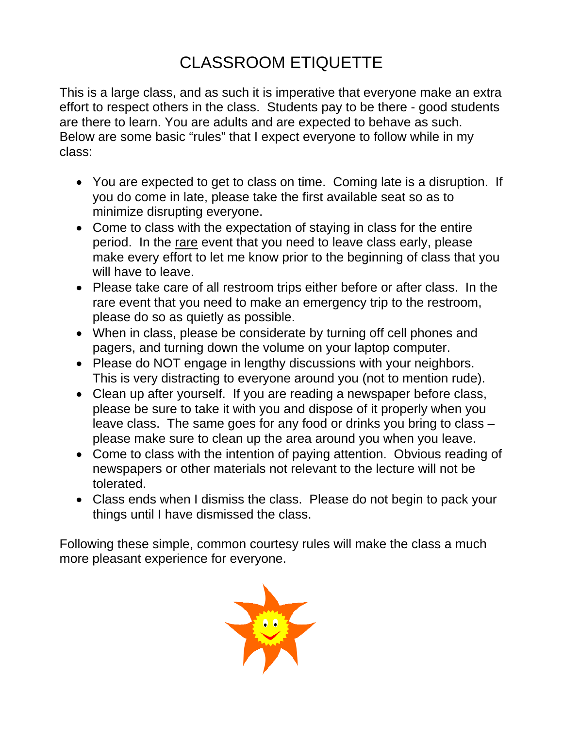# CLASSROOM ETIQUETTE

This is a large class, and as such it is imperative that everyone make an extra effort to respect others in the class. Students pay to be there - good students are there to learn. You are adults and are expected to behave as such. Below are some basic "rules" that I expect everyone to follow while in my class:

- You are expected to get to class on time. Coming late is a disruption. If you do come in late, please take the first available seat so as to minimize disrupting everyone.
- Come to class with the expectation of staying in class for the entire period. In the rare event that you need to leave class early, please make every effort to let me know prior to the beginning of class that you will have to leave.
- Please take care of all restroom trips either before or after class. In the rare event that you need to make an emergency trip to the restroom, please do so as quietly as possible.
- When in class, please be considerate by turning off cell phones and pagers, and turning down the volume on your laptop computer.
- Please do NOT engage in lengthy discussions with your neighbors. This is very distracting to everyone around you (not to mention rude).
- Clean up after yourself. If you are reading a newspaper before class, please be sure to take it with you and dispose of it properly when you leave class. The same goes for any food or drinks you bring to class – please make sure to clean up the area around you when you leave.
- Come to class with the intention of paying attention. Obvious reading of newspapers or other materials not relevant to the lecture will not be tolerated.
- Class ends when I dismiss the class. Please do not begin to pack your things until I have dismissed the class.

Following these simple, common courtesy rules will make the class a much more pleasant experience for everyone.